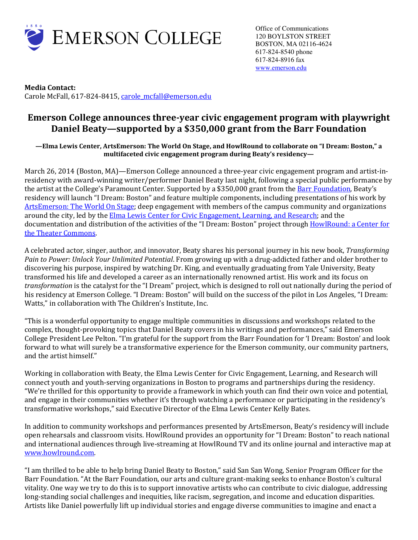

**Media Contact:**  Carole McFall, 617-824-8415, carole mcfall@emerson.edu

# **Emerson College announces three-year civic engagement program with playwright Daniel Beaty—supported by a \$350,000 grant from the Barr Foundation**

**—Elma Lewis Center, ArtsEmerson: The World On Stage, and HowlRound to collaborate on "I Dream: Boston," a multifaceted civic engagement program during Beaty's residency—** 

March 26, 2014 (Boston, MA)—Emerson College announced a three-year civic engagement program and artist-inresidency with award-winning writer/performer Daniel Beaty last night, following a special public performance by the artist at the College's Paramount Center. Supported by a \$350,000 grant from the Barr Foundation, Beaty's residency will launch "I Dream: Boston" and feature multiple components, including presentations of his work by ArtsEmerson: The World On Stage; deep engagement with members of the campus community and organizations around the city, led by the Elma Lewis Center for Civic Engagement, Learning, and Research; and the documentation and distribution of the activities of the "I Dream: Boston" project through HowlRound: a Center for the Theater Commons.

A celebrated actor, singer, author, and innovator, Beaty shares his personal journey in his new book, *Transforming Pain to Power: Unlock Your Unlimited Potential*. From growing up with a drug-addicted father and older brother to discovering his purpose, inspired by watching Dr. King, and eventually graduating from Yale University, Beaty transformed his life and developed a career as an internationally renowned artist. His work and its focus on *transformation* is the catalyst for the "I Dream" project, which is designed to roll out nationally during the period of his residency at Emerson College. "I Dream: Boston" will build on the success of the pilot in Los Angeles, "I Dream: Watts," in collaboration with The Children's Institute, Inc.

"This is a wonderful opportunity to engage multiple communities in discussions and workshops related to the complex, thought-provoking topics that Daniel Beaty covers in his writings and performances," said Emerson College President Lee Pelton. "I'm grateful for the support from the Barr Foundation for 'I Dream: Boston' and look forward to what will surely be a transformative experience for the Emerson community, our community partners, and the artist himself."

Working in collaboration with Beaty, the Elma Lewis Center for Civic Engagement, Learning, and Research will connect youth and youth-serving organizations in Boston to programs and partnerships during the residency. "We're thrilled for this opportunity to provide a framework in which youth can find their own voice and potential, and engage in their communities whether it's through watching a performance or participating in the residency's transformative workshops," said Executive Director of the Elma Lewis Center Kelly Bates.

In addition to community workshops and performances presented by ArtsEmerson, Beaty's residency will include open rehearsals and classroom visits. HowlRound provides an opportunity for "I Dream: Boston" to reach national and international audiences through live-streaming at HowlRound TV and its online journal and interactive map at www.howlround.com.

"I am thrilled to be able to help bring Daniel Beaty to Boston," said San San Wong, Senior Program Officer for the Barr Foundation. "At the Barr Foundation, our arts and culture grant-making seeks to enhance Boston's cultural vitality. One way we try to do this is to support innovative artists who can contribute to civic dialogue, addressing long-standing social challenges and inequities, like racism, segregation, and income and education disparities. Artists like Daniel powerfully lift up individual stories and engage diverse communities to imagine and enact a